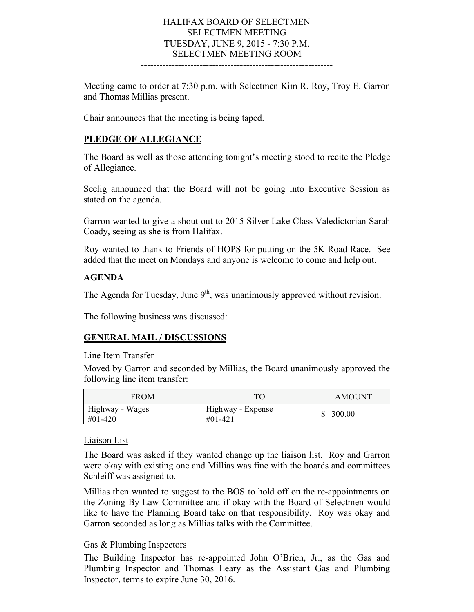### HALIFAX BOARD OF SELECTMEN SELECTMEN MEETING TUESDAY, JUNE 9, 2015 - 7:30 P.M. SELECTMEN MEETING ROOM

--------------------------------------------------------------

Meeting came to order at 7:30 p.m. with Selectmen Kim R. Roy, Troy E. Garron and Thomas Millias present.

Chair announces that the meeting is being taped.

#### **PLEDGE OF ALLEGIANCE**

The Board as well as those attending tonight's meeting stood to recite the Pledge of Allegiance.

Seelig announced that the Board will not be going into Executive Session as stated on the agenda.

Garron wanted to give a shout out to 2015 Silver Lake Class Valedictorian Sarah Coady, seeing as she is from Halifax.

Roy wanted to thank to Friends of HOPS for putting on the 5K Road Race. See added that the meet on Mondays and anyone is welcome to come and help out.

#### **AGENDA**

The Agenda for Tuesday, June  $9<sup>th</sup>$ , was unanimously approved without revision.

The following business was discussed:

#### **GENERAL MAIL / DISCUSSIONS**

#### Line Item Transfer

Moved by Garron and seconded by Millias, the Board unanimously approved the following line item transfer:

| <b>FROM</b>                     | TO                           | <b>AMOUNT</b> |
|---------------------------------|------------------------------|---------------|
| Highway - Wages<br>$\#01 - 420$ | Highway - Expense<br>#01-421 | 300.00        |

#### Liaison List

The Board was asked if they wanted change up the liaison list. Roy and Garron were okay with existing one and Millias was fine with the boards and committees Schleiff was assigned to.

Millias then wanted to suggest to the BOS to hold off on the re-appointments on the Zoning By-Law Committee and if okay with the Board of Selectmen would like to have the Planning Board take on that responsibility. Roy was okay and Garron seconded as long as Millias talks with the Committee.

#### Gas & Plumbing Inspectors

The Building Inspector has re-appointed John O'Brien, Jr., as the Gas and Plumbing Inspector and Thomas Leary as the Assistant Gas and Plumbing Inspector, terms to expire June 30, 2016.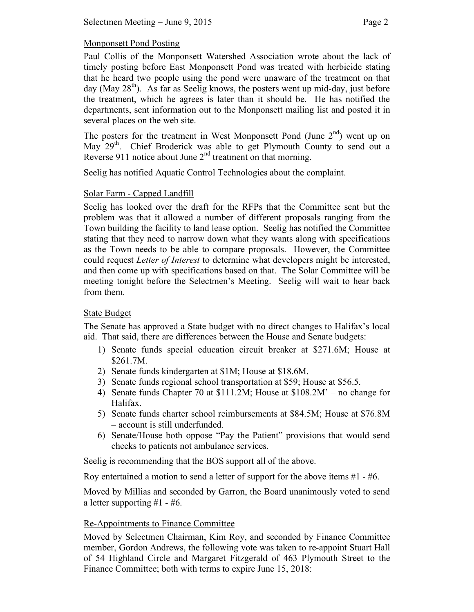Paul Collis of the Monponsett Watershed Association wrote about the lack of timely posting before East Monponsett Pond was treated with herbicide stating that he heard two people using the pond were unaware of the treatment on that day (May  $28<sup>th</sup>$ ). As far as Seelig knows, the posters went up mid-day, just before the treatment, which he agrees is later than it should be. He has notified the departments, sent information out to the Monponsett mailing list and posted it in several places on the web site.

The posters for the treatment in West Monponsett Pond (June  $2<sup>nd</sup>$ ) went up on May 29<sup>th</sup>. Chief Broderick was able to get Plymouth County to send out a Reverse 911 notice about June  $2<sup>nd</sup>$  treatment on that morning.

Seelig has notified Aquatic Control Technologies about the complaint.

# Solar Farm - Capped Landfill

Seelig has looked over the draft for the RFPs that the Committee sent but the problem was that it allowed a number of different proposals ranging from the Town building the facility to land lease option. Seelig has notified the Committee stating that they need to narrow down what they wants along with specifications as the Town needs to be able to compare proposals. However, the Committee could request *Letter of Interest* to determine what developers might be interested, and then come up with specifications based on that. The Solar Committee will be meeting tonight before the Selectmen's Meeting. Seelig will wait to hear back from them.

# State Budget

The Senate has approved a State budget with no direct changes to Halifax's local aid. That said, there are differences between the House and Senate budgets:

- 1) Senate funds special education circuit breaker at \$271.6M; House at \$261.7M.
- 2) Senate funds kindergarten at \$1M; House at \$18.6M.
- 3) Senate funds regional school transportation at \$59; House at \$56.5.
- 4) Senate funds Chapter 70 at \$111.2M; House at \$108.2M' no change for Halifax.
- 5) Senate funds charter school reimbursements at \$84.5M; House at \$76.8M – account is still underfunded.
- 6) Senate/House both oppose "Pay the Patient" provisions that would send checks to patients not ambulance services.

Seelig is recommending that the BOS support all of the above.

Roy entertained a motion to send a letter of support for the above items #1 - #6.

Moved by Millias and seconded by Garron, the Board unanimously voted to send a letter supporting #1 - #6.

# Re-Appointments to Finance Committee

Moved by Selectmen Chairman, Kim Roy, and seconded by Finance Committee member, Gordon Andrews, the following vote was taken to re-appoint Stuart Hall of 54 Highland Circle and Margaret Fitzgerald of 463 Plymouth Street to the Finance Committee; both with terms to expire June 15, 2018: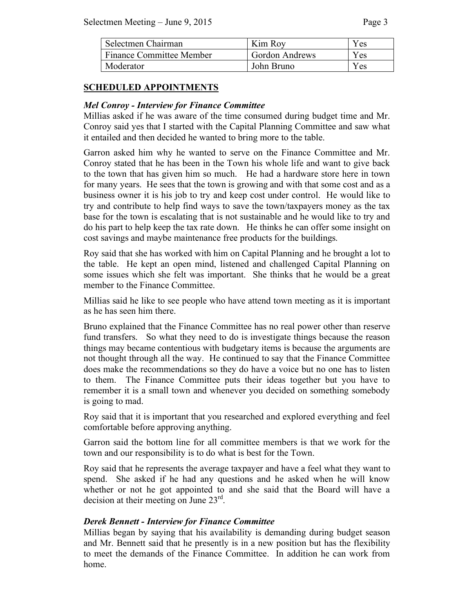| Selectmen Chairman              | Kim Roy               | Y es |
|---------------------------------|-----------------------|------|
| <b>Finance Committee Member</b> | <b>Gordon Andrews</b> | Yes  |
| Moderator                       | John Bruno            | Yes  |

## **SCHEDULED APPOINTMENTS**

## *Mel Conroy - Interview for Finance Committee*

Millias asked if he was aware of the time consumed during budget time and Mr. Conroy said yes that I started with the Capital Planning Committee and saw what it entailed and then decided he wanted to bring more to the table.

Garron asked him why he wanted to serve on the Finance Committee and Mr. Conroy stated that he has been in the Town his whole life and want to give back to the town that has given him so much. He had a hardware store here in town for many years. He sees that the town is growing and with that some cost and as a business owner it is his job to try and keep cost under control. He would like to try and contribute to help find ways to save the town/taxpayers money as the tax base for the town is escalating that is not sustainable and he would like to try and do his part to help keep the tax rate down. He thinks he can offer some insight on cost savings and maybe maintenance free products for the buildings.

Roy said that she has worked with him on Capital Planning and he brought a lot to the table. He kept an open mind, listened and challenged Capital Planning on some issues which she felt was important. She thinks that he would be a great member to the Finance Committee.

Millias said he like to see people who have attend town meeting as it is important as he has seen him there.

Bruno explained that the Finance Committee has no real power other than reserve fund transfers. So what they need to do is investigate things because the reason things may became contentious with budgetary items is because the arguments are not thought through all the way. He continued to say that the Finance Committee does make the recommendations so they do have a voice but no one has to listen to them. The Finance Committee puts their ideas together but you have to remember it is a small town and whenever you decided on something somebody is going to mad.

Roy said that it is important that you researched and explored everything and feel comfortable before approving anything.

Garron said the bottom line for all committee members is that we work for the town and our responsibility is to do what is best for the Town.

Roy said that he represents the average taxpayer and have a feel what they want to spend. She asked if he had any questions and he asked when he will know whether or not he got appointed to and she said that the Board will have a decision at their meeting on June  $23<sup>rd</sup>$ .

## *Derek Bennett - Interview for Finance Committee*

Millias began by saying that his availability is demanding during budget season and Mr. Bennett said that he presently is in a new position but has the flexibility to meet the demands of the Finance Committee. In addition he can work from home.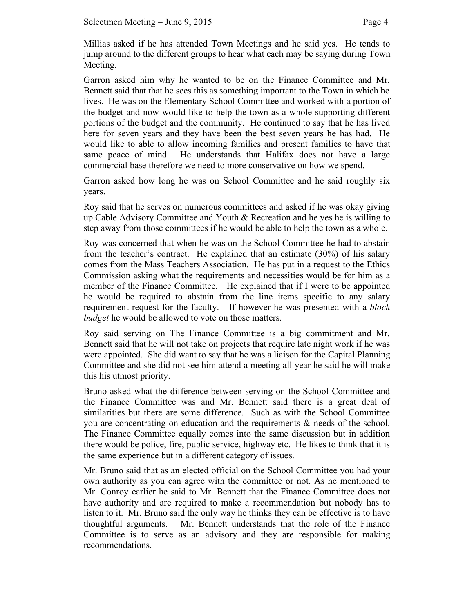Millias asked if he has attended Town Meetings and he said yes. He tends to jump around to the different groups to hear what each may be saying during Town Meeting.

Garron asked him why he wanted to be on the Finance Committee and Mr. Bennett said that that he sees this as something important to the Town in which he lives. He was on the Elementary School Committee and worked with a portion of the budget and now would like to help the town as a whole supporting different portions of the budget and the community. He continued to say that he has lived here for seven years and they have been the best seven years he has had. He would like to able to allow incoming families and present families to have that same peace of mind. He understands that Halifax does not have a large commercial base therefore we need to more conservative on how we spend.

Garron asked how long he was on School Committee and he said roughly six years.

Roy said that he serves on numerous committees and asked if he was okay giving up Cable Advisory Committee and Youth & Recreation and he yes he is willing to step away from those committees if he would be able to help the town as a whole.

Roy was concerned that when he was on the School Committee he had to abstain from the teacher's contract. He explained that an estimate (30%) of his salary comes from the Mass Teachers Association. He has put in a request to the Ethics Commission asking what the requirements and necessities would be for him as a member of the Finance Committee. He explained that if I were to be appointed he would be required to abstain from the line items specific to any salary requirement request for the faculty. If however he was presented with a *block budget* he would be allowed to vote on those matters.

Roy said serving on The Finance Committee is a big commitment and Mr. Bennett said that he will not take on projects that require late night work if he was were appointed. She did want to say that he was a liaison for the Capital Planning Committee and she did not see him attend a meeting all year he said he will make this his utmost priority.

Bruno asked what the difference between serving on the School Committee and the Finance Committee was and Mr. Bennett said there is a great deal of similarities but there are some difference. Such as with the School Committee you are concentrating on education and the requirements & needs of the school. The Finance Committee equally comes into the same discussion but in addition there would be police, fire, public service, highway etc. He likes to think that it is the same experience but in a different category of issues.

Mr. Bruno said that as an elected official on the School Committee you had your own authority as you can agree with the committee or not. As he mentioned to Mr. Conroy earlier he said to Mr. Bennett that the Finance Committee does not have authority and are required to make a recommendation but nobody has to listen to it. Mr. Bruno said the only way he thinks they can be effective is to have thoughtful arguments. Mr. Bennett understands that the role of the Finance Committee is to serve as an advisory and they are responsible for making recommendations.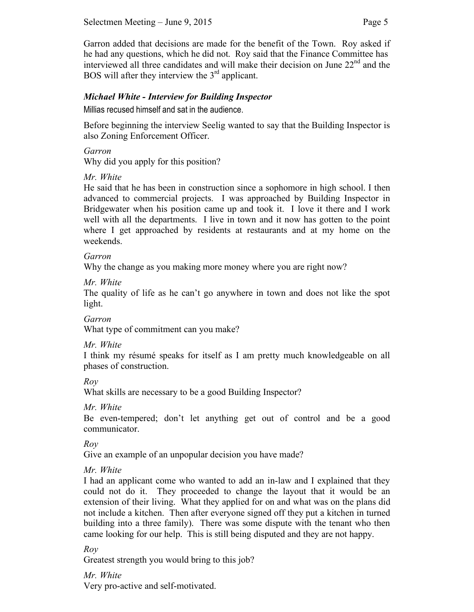Garron added that decisions are made for the benefit of the Town. Roy asked if he had any questions, which he did not. Roy said that the Finance Committee has interviewed all three candidates and will make their decision on June  $22<sup>nd</sup>$  and the BOS will after they interview the  $3<sup>rd</sup>$  applicant.

## *Michael White - Interview for Building Inspector*

Millias recused himself and sat in the audience.

Before beginning the interview Seelig wanted to say that the Building Inspector is also Zoning Enforcement Officer.

#### *Garron*

Why did you apply for this position?

## *Mr. White*

He said that he has been in construction since a sophomore in high school. I then advanced to commercial projects. I was approached by Building Inspector in Bridgewater when his position came up and took it. I love it there and I work well with all the departments. I live in town and it now has gotten to the point where I get approached by residents at restaurants and at my home on the weekends.

### *Garron*

Why the change as you making more money where you are right now?

*Mr. White* 

The quality of life as he can't go anywhere in town and does not like the spot light.

### *Garron*

What type of commitment can you make?

#### *Mr. White*

I think my résumé speaks for itself as I am pretty much knowledgeable on all phases of construction.

*Roy* 

What skills are necessary to be a good Building Inspector?

#### *Mr. White*

Be even-tempered; don't let anything get out of control and be a good communicator.

*Roy*

Give an example of an unpopular decision you have made?

## *Mr. White*

I had an applicant come who wanted to add an in-law and I explained that they could not do it. They proceeded to change the layout that it would be an extension of their living. What they applied for on and what was on the plans did not include a kitchen. Then after everyone signed off they put a kitchen in turned building into a three family). There was some dispute with the tenant who then came looking for our help. This is still being disputed and they are not happy.

## *Roy*

Greatest strength you would bring to this job?

*Mr. White* 

Very pro-active and self-motivated.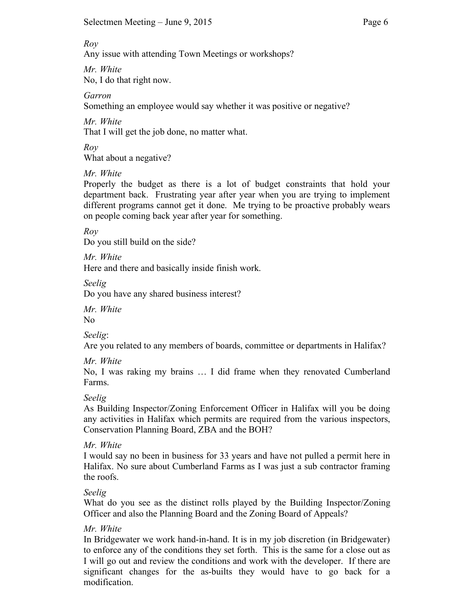#### *Roy*

Any issue with attending Town Meetings or workshops?

*Mr. White*  No, I do that right now.

*Garron*

Something an employee would say whether it was positive or negative?

*Mr. White*  That I will get the job done, no matter what.

*Roy*

What about a negative?

*Mr. White*

Properly the budget as there is a lot of budget constraints that hold your department back. Frustrating year after year when you are trying to implement different programs cannot get it done. Me trying to be proactive probably wears on people coming back year after year for something.

*Roy*

Do you still build on the side?

*Mr. White*

Here and there and basically inside finish work.

*Seelig*

Do you have any shared business interest?

*Mr. White* No

*Seelig*:

Are you related to any members of boards, committee or departments in Halifax?

*Mr. White* 

No, I was raking my brains … I did frame when they renovated Cumberland Farms.

*Seelig*

As Building Inspector/Zoning Enforcement Officer in Halifax will you be doing any activities in Halifax which permits are required from the various inspectors, Conservation Planning Board, ZBA and the BOH?

*Mr. White*

I would say no been in business for 33 years and have not pulled a permit here in Halifax. No sure about Cumberland Farms as I was just a sub contractor framing the roofs.

# *Seelig*

What do you see as the distinct rolls played by the Building Inspector/Zoning Officer and also the Planning Board and the Zoning Board of Appeals?

# *Mr. White*

In Bridgewater we work hand-in-hand. It is in my job discretion (in Bridgewater) to enforce any of the conditions they set forth. This is the same for a close out as I will go out and review the conditions and work with the developer. If there are significant changes for the as-builts they would have to go back for a modification.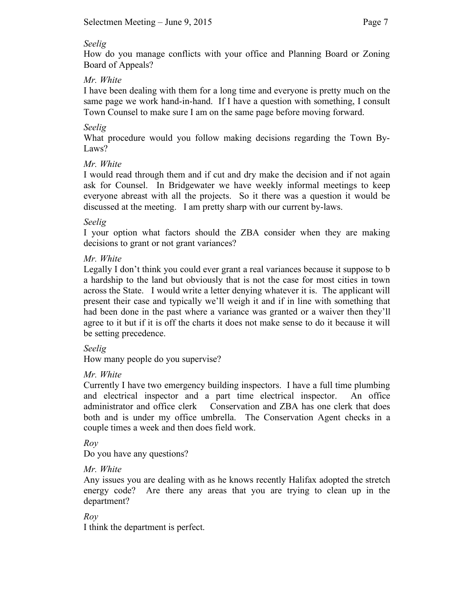### *Seelig*

How do you manage conflicts with your office and Planning Board or Zoning Board of Appeals?

## *Mr. White*

I have been dealing with them for a long time and everyone is pretty much on the same page we work hand-in-hand. If I have a question with something, I consult Town Counsel to make sure I am on the same page before moving forward.

# *Seelig*

What procedure would you follow making decisions regarding the Town By-Laws?

## *Mr. White*

I would read through them and if cut and dry make the decision and if not again ask for Counsel. In Bridgewater we have weekly informal meetings to keep everyone abreast with all the projects. So it there was a question it would be discussed at the meeting. I am pretty sharp with our current by-laws.

## *Seelig*

I your option what factors should the ZBA consider when they are making decisions to grant or not grant variances?

## *Mr. White*

Legally I don't think you could ever grant a real variances because it suppose to b a hardship to the land but obviously that is not the case for most cities in town across the State. I would write a letter denying whatever it is. The applicant will present their case and typically we'll weigh it and if in line with something that had been done in the past where a variance was granted or a waiver then they'll agree to it but if it is off the charts it does not make sense to do it because it will be setting precedence.

## *Seelig*

How many people do you supervise?

## *Mr. White*

Currently I have two emergency building inspectors. I have a full time plumbing and electrical inspector and a part time electrical inspector. An office administrator and office clerk Conservation and ZBA has one clerk that does both and is under my office umbrella. The Conservation Agent checks in a couple times a week and then does field work.

## *Roy*

Do you have any questions?

# *Mr. White*

Any issues you are dealing with as he knows recently Halifax adopted the stretch energy code? Are there any areas that you are trying to clean up in the department?

# *Roy*

I think the department is perfect.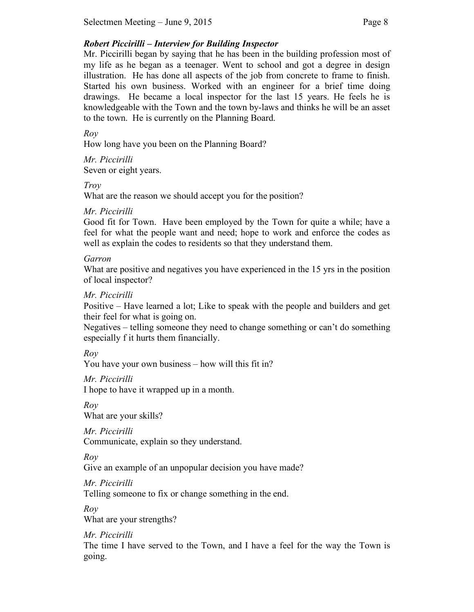Mr. Piccirilli began by saying that he has been in the building profession most of my life as he began as a teenager. Went to school and got a degree in design illustration. He has done all aspects of the job from concrete to frame to finish. Started his own business. Worked with an engineer for a brief time doing drawings. He became a local inspector for the last 15 years. He feels he is knowledgeable with the Town and the town by-laws and thinks he will be an asset to the town. He is currently on the Planning Board.

*Roy*

How long have you been on the Planning Board?

*Mr. Piccirilli* Seven or eight years.

*Troy*

What are the reason we should accept you for the position?

*Mr. Piccirilli* 

Good fit for Town. Have been employed by the Town for quite a while; have a feel for what the people want and need; hope to work and enforce the codes as well as explain the codes to residents so that they understand them.

*Garron*

What are positive and negatives you have experienced in the 15 yrs in the position of local inspector?

*Mr. Piccirilli*

Positive – Have learned a lot; Like to speak with the people and builders and get their feel for what is going on.

Negatives – telling someone they need to change something or can't do something especially f it hurts them financially.

*Roy*

You have your own business – how will this fit in?

*Mr. Piccirilli*

I hope to have it wrapped up in a month.

*Roy* What are your skills?

*Mr. Piccirilli* Communicate, explain so they understand.

*Roy* 

Give an example of an unpopular decision you have made?

*Mr. Piccirilli* Telling someone to fix or change something in the end.

*Roy*  What are your strengths?

*Mr. Piccirilli*

The time I have served to the Town, and I have a feel for the way the Town is going.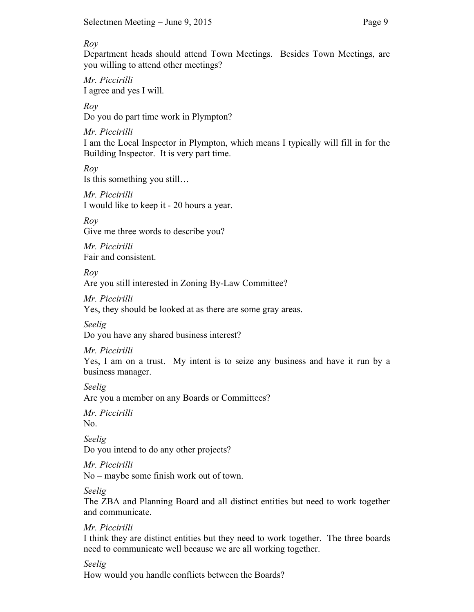#### *Roy*

Department heads should attend Town Meetings. Besides Town Meetings, are you willing to attend other meetings?

*Mr. Piccirilli* I agree and yes I will.

*Roy* Do you do part time work in Plympton?

*Mr. Piccirilli*

I am the Local Inspector in Plympton, which means I typically will fill in for the Building Inspector. It is very part time.

*Roy*  Is this something you still…

*Mr. Piccirilli* I would like to keep it - 20 hours a year.

*Roy*

Give me three words to describe you?

*Mr. Piccirilli* Fair and consistent.

*Roy* 

Are you still interested in Zoning By-Law Committee?

*Mr. Piccirilli* Yes, they should be looked at as there are some gray areas.

*Seelig* Do you have any shared business interest?

*Mr. Piccirilli*

Yes, I am on a trust. My intent is to seize any business and have it run by a business manager.

*Seelig* Are you a member on any Boards or Committees?

*Mr. Piccirilli* No.

*Seelig* Do you intend to do any other projects?

*Mr. Piccirilli* No – maybe some finish work out of town.

*Seelig*

The ZBA and Planning Board and all distinct entities but need to work together and communicate.

*Mr. Piccirilli*

I think they are distinct entities but they need to work together. The three boards need to communicate well because we are all working together.

*Seelig* 

How would you handle conflicts between the Boards?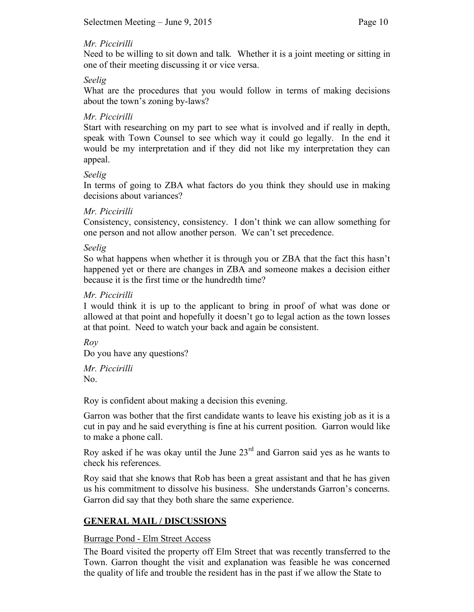### *Mr. Piccirilli*

Need to be willing to sit down and talk*.* Whether it is a joint meeting or sitting in one of their meeting discussing it or vice versa.

### *Seelig*

What are the procedures that you would follow in terms of making decisions about the town's zoning by-laws?

### *Mr. Piccirilli*

Start with researching on my part to see what is involved and if really in depth, speak with Town Counsel to see which way it could go legally. In the end it would be my interpretation and if they did not like my interpretation they can appeal.

### *Seelig*

In terms of going to ZBA what factors do you think they should use in making decisions about variances?

#### *Mr. Piccirilli*

Consistency, consistency, consistency. I don't think we can allow something for one person and not allow another person. We can't set precedence.

#### *Seelig*

So what happens when whether it is through you or ZBA that the fact this hasn't happened yet or there are changes in ZBA and someone makes a decision either because it is the first time or the hundredth time?

### *Mr. Piccirilli*

I would think it is up to the applicant to bring in proof of what was done or allowed at that point and hopefully it doesn't go to legal action as the town losses at that point. Need to watch your back and again be consistent.

*Roy*

Do you have any questions?

*Mr. Piccirilli* No.

Roy is confident about making a decision this evening.

Garron was bother that the first candidate wants to leave his existing job as it is a cut in pay and he said everything is fine at his current position. Garron would like to make a phone call.

Roy asked if he was okay until the June  $23<sup>rd</sup>$  and Garron said yes as he wants to check his references.

Roy said that she knows that Rob has been a great assistant and that he has given us his commitment to dissolve his business. She understands Garron's concerns. Garron did say that they both share the same experience.

## **GENERAL MAIL / DISCUSSIONS**

## Burrage Pond - Elm Street Access

The Board visited the property off Elm Street that was recently transferred to the Town. Garron thought the visit and explanation was feasible he was concerned the quality of life and trouble the resident has in the past if we allow the State to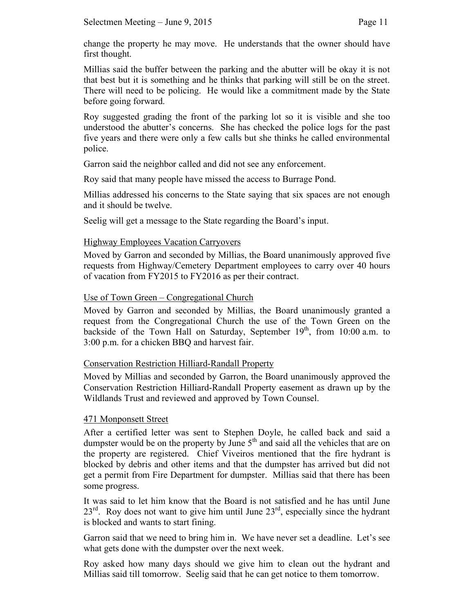change the property he may move. He understands that the owner should have first thought.

Millias said the buffer between the parking and the abutter will be okay it is not that best but it is something and he thinks that parking will still be on the street. There will need to be policing. He would like a commitment made by the State before going forward.

Roy suggested grading the front of the parking lot so it is visible and she too understood the abutter's concerns. She has checked the police logs for the past five years and there were only a few calls but she thinks he called environmental police.

Garron said the neighbor called and did not see any enforcement.

Roy said that many people have missed the access to Burrage Pond.

Millias addressed his concerns to the State saying that six spaces are not enough and it should be twelve.

Seelig will get a message to the State regarding the Board's input.

## Highway Employees Vacation Carryovers

Moved by Garron and seconded by Millias, the Board unanimously approved five requests from Highway/Cemetery Department employees to carry over 40 hours of vacation from FY2015 to FY2016 as per their contract.

### Use of Town Green – Congregational Church

Moved by Garron and seconded by Millias, the Board unanimously granted a request from the Congregational Church the use of the Town Green on the backside of the Town Hall on Saturday, September 19<sup>th</sup>, from 10:00 a.m. to 3:00 p.m. for a chicken BBQ and harvest fair.

#### Conservation Restriction Hilliard-Randall Property

Moved by Millias and seconded by Garron, the Board unanimously approved the Conservation Restriction Hilliard-Randall Property easement as drawn up by the Wildlands Trust and reviewed and approved by Town Counsel.

## 471 Monponsett Street

After a certified letter was sent to Stephen Doyle, he called back and said a dumpster would be on the property by June  $5<sup>th</sup>$  and said all the vehicles that are on the property are registered. Chief Viveiros mentioned that the fire hydrant is blocked by debris and other items and that the dumpster has arrived but did not get a permit from Fire Department for dumpster. Millias said that there has been some progress.

It was said to let him know that the Board is not satisfied and he has until June  $23<sup>rd</sup>$ . Roy does not want to give him until June  $23<sup>rd</sup>$ , especially since the hydrant is blocked and wants to start fining.

Garron said that we need to bring him in. We have never set a deadline. Let's see what gets done with the dumpster over the next week.

Roy asked how many days should we give him to clean out the hydrant and Millias said till tomorrow. Seelig said that he can get notice to them tomorrow.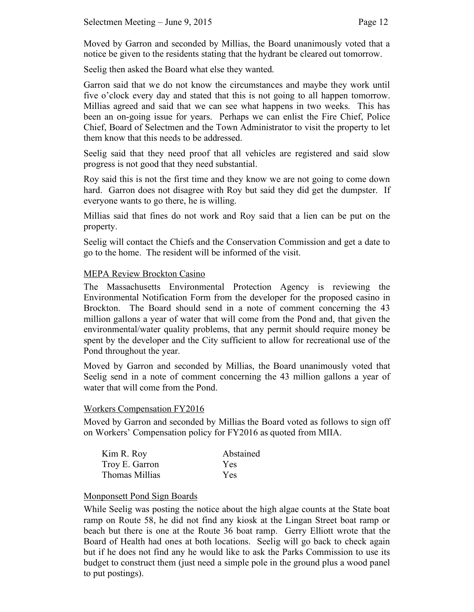Moved by Garron and seconded by Millias, the Board unanimously voted that a notice be given to the residents stating that the hydrant be cleared out tomorrow.

Seelig then asked the Board what else they wanted.

Garron said that we do not know the circumstances and maybe they work until five o'clock every day and stated that this is not going to all happen tomorrow. Millias agreed and said that we can see what happens in two weeks. This has been an on-going issue for years. Perhaps we can enlist the Fire Chief, Police Chief, Board of Selectmen and the Town Administrator to visit the property to let them know that this needs to be addressed.

Seelig said that they need proof that all vehicles are registered and said slow progress is not good that they need substantial.

Roy said this is not the first time and they know we are not going to come down hard. Garron does not disagree with Roy but said they did get the dumpster. If everyone wants to go there, he is willing.

Millias said that fines do not work and Roy said that a lien can be put on the property.

Seelig will contact the Chiefs and the Conservation Commission and get a date to go to the home. The resident will be informed of the visit.

### MEPA Review Brockton Casino

The Massachusetts Environmental Protection Agency is reviewing the Environmental Notification Form from the developer for the proposed casino in Brockton. The Board should send in a note of comment concerning the 43 million gallons a year of water that will come from the Pond and, that given the environmental/water quality problems, that any permit should require money be spent by the developer and the City sufficient to allow for recreational use of the Pond throughout the year.

Moved by Garron and seconded by Millias, the Board unanimously voted that Seelig send in a note of comment concerning the 43 million gallons a year of water that will come from the Pond.

#### Workers Compensation FY2016

Moved by Garron and seconded by Millias the Board voted as follows to sign off on Workers' Compensation policy for FY2016 as quoted from MIIA.

| Kim R. Roy     | Abstained |
|----------------|-----------|
| Troy E. Garron | Yes       |
| Thomas Millias | Yes       |

#### Monponsett Pond Sign Boards

While Seelig was posting the notice about the high algae counts at the State boat ramp on Route 58, he did not find any kiosk at the Lingan Street boat ramp or beach but there is one at the Route 36 boat ramp. Gerry Elliott wrote that the Board of Health had ones at both locations. Seelig will go back to check again but if he does not find any he would like to ask the Parks Commission to use its budget to construct them (just need a simple pole in the ground plus a wood panel to put postings).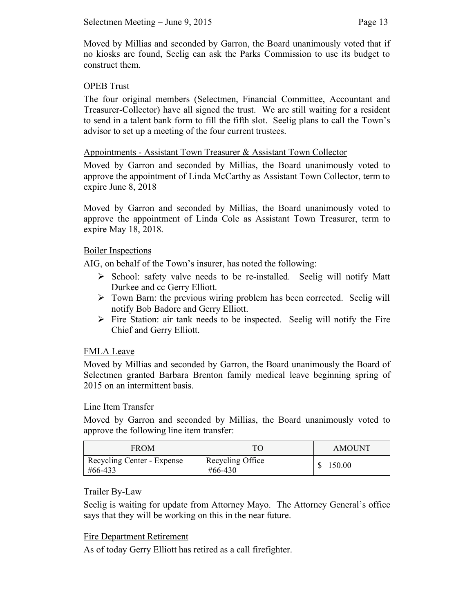Moved by Millias and seconded by Garron, the Board unanimously voted that if no kiosks are found, Seelig can ask the Parks Commission to use its budget to construct them.

### OPEB Trust

The four original members (Selectmen, Financial Committee, Accountant and Treasurer-Collector) have all signed the trust. We are still waiting for a resident to send in a talent bank form to fill the fifth slot. Seelig plans to call the Town's advisor to set up a meeting of the four current trustees.

#### Appointments - Assistant Town Treasurer & Assistant Town Collector

Moved by Garron and seconded by Millias, the Board unanimously voted to approve the appointment of Linda McCarthy as Assistant Town Collector, term to expire June 8, 2018

Moved by Garron and seconded by Millias, the Board unanimously voted to approve the appointment of Linda Cole as Assistant Town Treasurer, term to expire May 18, 2018.

#### Boiler Inspections

AIG, on behalf of the Town's insurer, has noted the following:

- $\triangleright$  School: safety valve needs to be re-installed. Seelig will notify Matt Durkee and cc Gerry Elliott.
- $\triangleright$  Town Barn: the previous wiring problem has been corrected. Seelig will notify Bob Badore and Gerry Elliott.
- $\triangleright$  Fire Station: air tank needs to be inspected. Seelig will notify the Fire Chief and Gerry Elliott.

#### FMLA Leave

Moved by Millias and seconded by Garron, the Board unanimously the Board of Selectmen granted Barbara Brenton family medical leave beginning spring of 2015 on an intermittent basis.

#### Line Item Transfer

Moved by Garron and seconded by Millias, the Board unanimously voted to approve the following line item transfer:

| <b>FROM</b>                           | TС                          | <b>AMOUNT</b> |
|---------------------------------------|-----------------------------|---------------|
| Recycling Center - Expense<br>#66-433 | Recycling Office<br>#66-430 | 150.00        |

#### Trailer By-Law

Seelig is waiting for update from Attorney Mayo. The Attorney General's office says that they will be working on this in the near future.

#### Fire Department Retirement

As of today Gerry Elliott has retired as a call firefighter.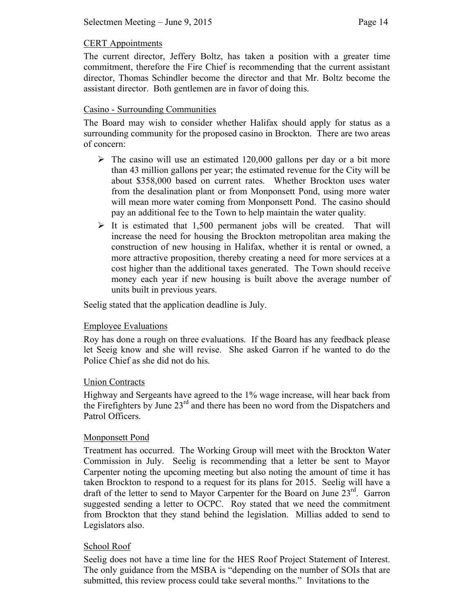#### CERT Appointments

The current director, Jeffery Boltz, has taken a position with a greater time commitment, therefore the Fire Chief is recommending that the current assistant director, Thomas Schindler become the director and that Mr. Boltz become the assistant director. Both gentlemen are in favor of doing this.

### Casino - Surrounding Communities

The Board may wish to consider whether Halifax should apply for status as a surrounding community for the proposed casino in Brockton. There are two areas of concern:

- $\triangleright$  The casino will use an estimated 120,000 gallons per day or a bit more than 43 million gallons per year; the estimated revenue for the City will be about \$358,000 based on current rates. Whether Brockton uses water from the desalination plant or from Monponsett Pond, using more water will mean more water coming from Monponsett Pond. The casino should pay an additional fee to the Town to help maintain the water quality.
- $\triangleright$  It is estimated that 1,500 permanent jobs will be created. That will increase the need for housing the Brockton metropolitan area making the construction of new housing in Halifax, whether it is rental or owned, a more attractive proposition, thereby creating a need for more services at a cost higher than the additional taxes generated. The Town should receive money each year if new housing is built above the average number of units built in previous years.

Seelig stated that the application deadline is July.

#### Employee Evaluations

Roy has done a rough on three evaluations. If the Board has any feedback please let Seeig know and she will revise. She asked Garron if he wanted to do the Police Chief as she did not do his.

#### Union Contracts

Highway and Sergeants have agreed to the 1% wage increase, will hear back from the Firefighters by June  $23<sup>rd</sup>$  and there has been no word from the Dispatchers and Patrol Officers.

#### Monponsett Pond

Treatment has occurred. The Working Group will meet with the Brockton Water Commission in July. Seelig is recommending that a letter be sent to Mayor Carpenter noting the upcoming meeting but also noting the amount of time it has taken Brockton to respond to a request for its plans for 2015. Seelig will have a draft of the letter to send to Mayor Carpenter for the Board on June  $23<sup>rd</sup>$ . Garron suggested sending a letter to OCPC. Roy stated that we need the commitment from Brockton that they stand behind the legislation. Millias added to send to Legislators also.

## School Roof

Seelig does not have a time line for the HES Roof Project Statement of Interest. The only guidance from the MSBA is "depending on the number of SOIs that are submitted, this review process could take several months." Invitations to the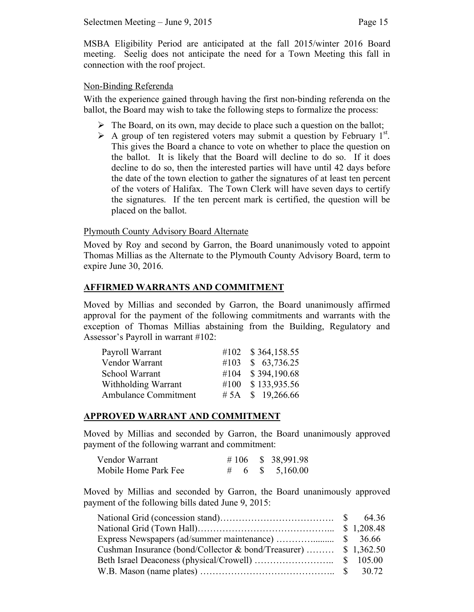MSBA Eligibility Period are anticipated at the fall 2015/winter 2016 Board meeting. Seelig does not anticipate the need for a Town Meeting this fall in connection with the roof project.

#### Non-Binding Referenda

With the experience gained through having the first non-binding referenda on the ballot, the Board may wish to take the following steps to formalize the process:

- $\triangleright$  The Board, on its own, may decide to place such a question on the ballot;
- A group of ten registered voters may submit a question by February  $1^{st}$ . This gives the Board a chance to vote on whether to place the question on the ballot. It is likely that the Board will decline to do so. If it does decline to do so, then the interested parties will have until 42 days before the date of the town election to gather the signatures of at least ten percent of the voters of Halifax. The Town Clerk will have seven days to certify the signatures. If the ten percent mark is certified, the question will be placed on the ballot.

### Plymouth County Advisory Board Alternate

Moved by Roy and second by Garron, the Board unanimously voted to appoint Thomas Millias as the Alternate to the Plymouth County Advisory Board, term to expire June 30, 2016.

### **AFFIRMED WARRANTS AND COMMITMENT**

Moved by Millias and seconded by Garron, the Board unanimously affirmed approval for the payment of the following commitments and warrants with the exception of Thomas Millias abstaining from the Building, Regulatory and Assessor's Payroll in warrant #102:

| #102 \$364,158.55 |
|-------------------|
| #103 \$ 63,736.25 |
| #104 \$394,190.68 |
| #100 \$133,935.56 |
| #5A $$19,266.66$  |
|                   |

#### **APPROVED WARRANT AND COMMITMENT**

Moved by Millias and seconded by Garron, the Board unanimously approved payment of the following warrant and commitment:

| Vendor Warrant       |  | # 106 $\,$ \$ 38,991.98 |
|----------------------|--|-------------------------|
| Mobile Home Park Fee |  | # 6 \$ 5,160.00         |

Moved by Millias and seconded by Garron, the Board unanimously approved payment of the following bills dated June 9, 2015:

| Cushman Insurance (bond/Collector & bond/Treasurer)  \$ 1,362.50                                                                                    |  |
|-----------------------------------------------------------------------------------------------------------------------------------------------------|--|
|                                                                                                                                                     |  |
| W.B. Mason (name plates) $\ldots$ $\ldots$ $\ldots$ $\ldots$ $\ldots$ $\ldots$ $\ldots$ $\ldots$ $\ldots$ $\ldots$ $\ldots$ $\ldots$ $\ldots$ 30.72 |  |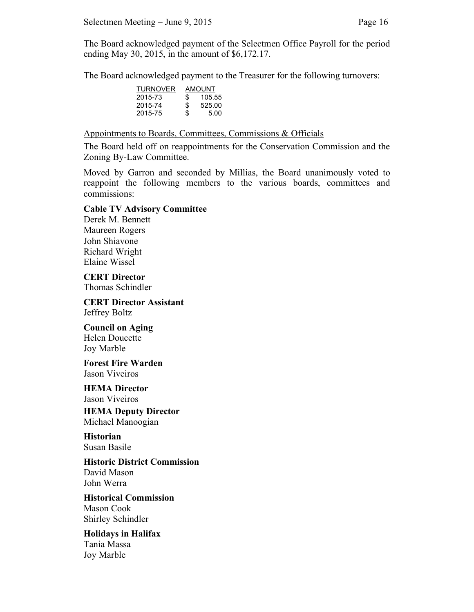The Board acknowledged payment of the Selectmen Office Payroll for the period ending May 30, 2015, in the amount of \$6,172.17.

The Board acknowledged payment to the Treasurer for the following turnovers:

| <b>AMOUNT</b> |        |  |
|---------------|--------|--|
| \$            | 105.55 |  |
| S             | 525.00 |  |
| \$            | 5.00   |  |
|               |        |  |

Appointments to Boards, Committees, Commissions & Officials

The Board held off on reappointments for the Conservation Commission and the Zoning By-Law Committee.

Moved by Garron and seconded by Millias, the Board unanimously voted to reappoint the following members to the various boards, committees and commissions:

#### **Cable TV Advisory Committee**

Derek M. Bennett Maureen Rogers John Shiavone Richard Wright Elaine Wissel

**CERT Director** Thomas Schindler

**CERT Director Assistant** Jeffrey Boltz

**Council on Aging** Helen Doucette Joy Marble

**Forest Fire Warden** Jason Viveiros

**HEMA Director** Jason Viveiros

**HEMA Deputy Director** Michael Manoogian

**Historian** Susan Basile

**Historic District Commission** David Mason John Werra

**Historical Commission** Mason Cook Shirley Schindler

**Holidays in Halifax**

Tania Massa Joy Marble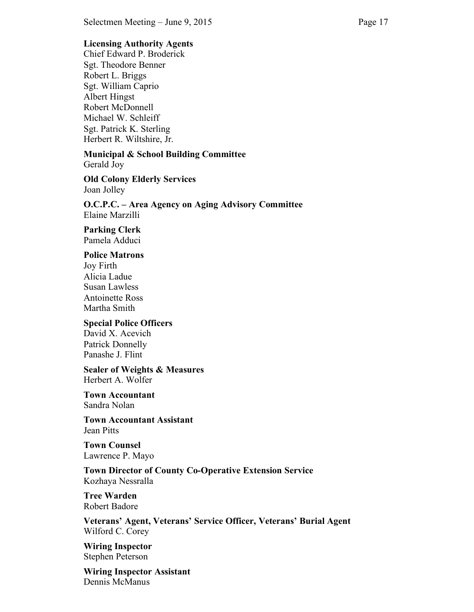### **Licensing Authority Agents**

Chief Edward P. Broderick Sgt. Theodore Benner Robert L. Briggs Sgt. William Caprio Albert Hingst Robert McDonnell Michael W. Schleiff Sgt. Patrick K. Sterling Herbert R. Wiltshire, Jr.

**Municipal & School Building Committee** Gerald Joy

**Old Colony Elderly Services** Joan Jolley

**O.C.P.C. – Area Agency on Aging Advisory Committee** Elaine Marzilli

**Parking Clerk** Pamela Adduci

#### **Police Matrons**

Joy Firth Alicia Ladue Susan Lawless Antoinette Ross Martha Smith

#### **Special Police Officers**

David X. Acevich Patrick Donnelly Panashe J. Flint

**Sealer of Weights & Measures** Herbert A. Wolfer

**Town Accountant** Sandra Nolan

**Town Accountant Assistant** Jean Pitts

**Town Counsel** Lawrence P. Mayo

**Town Director of County Co-Operative Extension Service** Kozhaya Nessralla

**Tree Warden** Robert Badore

**Veterans' Agent, Veterans' Service Officer, Veterans' Burial Agent** Wilford C. Corey

**Wiring Inspector** Stephen Peterson

**Wiring Inspector Assistant** Dennis McManus